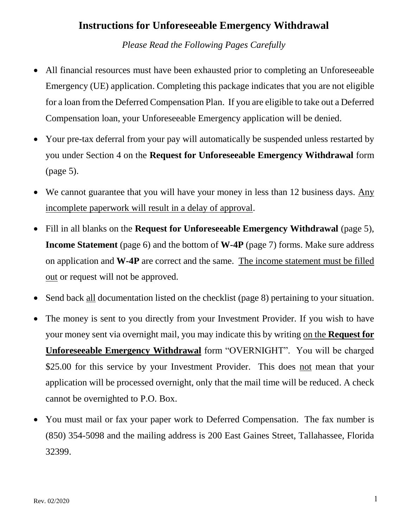# **Instructions for Unforeseeable Emergency Withdrawal**

*Please Read the Following Pages Carefully*

- All financial resources must have been exhausted prior to completing an Unforeseeable Emergency (UE) application. Completing this package indicates that you are not eligible for a loan from the Deferred Compensation Plan. If you are eligible to take out a Deferred Compensation loan, your Unforeseeable Emergency application will be denied.
- Your pre-tax deferral from your pay will automatically be suspended unless restarted by you under Section 4 on the **Request for Unforeseeable Emergency Withdrawal** form (page 5).
- We cannot guarantee that you will have your money in less than 12 business days. Any incomplete paperwork will result in a delay of approval.
- Fill in all blanks on the **Request for Unforeseeable Emergency Withdrawal** (page 5), **Income Statement** (page 6) and the bottom of **W-4P** (page 7) forms. Make sure address on application and **W-4P** are correct and the same. The income statement must be filled out or request will not be approved.
- Send back all documentation listed on the checklist (page 8) pertaining to your situation.
- The money is sent to you directly from your Investment Provider. If you wish to have your money sent via overnight mail, you may indicate this by writing on the **Request for Unforeseeable Emergency Withdrawal** form "OVERNIGHT". You will be charged \$25.00 for this service by your Investment Provider. This does not mean that your application will be processed overnight, only that the mail time will be reduced. A check cannot be overnighted to P.O. Box.
- You must mail or fax your paper work to Deferred Compensation. The fax number is (850) 354-5098 and the mailing address is 200 East Gaines Street, Tallahassee, Florida 32399.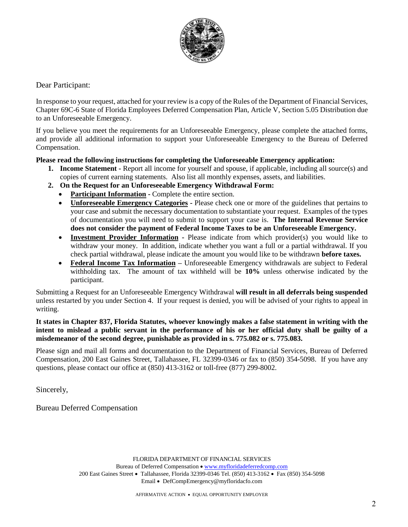

### Dear Participant:

In response to your request, attached for your review is a copy of the Rules of the Department of Financial Services, Chapter 69C-6 State of Florida Employees Deferred Compensation Plan, Article V, Section 5.05 Distribution due to an Unforeseeable Emergency.

If you believe you meet the requirements for an Unforeseeable Emergency, please complete the attached forms, and provide all additional information to support your Unforeseeable Emergency to the Bureau of Deferred Compensation.

#### **Please read the following instructions for completing the Unforeseeable Emergency application:**

- **1. Income Statement -** Report all income for yourself and spouse, if applicable, including all source(s) and copies of current earning statements. Also list all monthly expenses, assets, and liabilities.
- **2. On the Request for an Unforeseeable Emergency Withdrawal Form:**
	- **Participant Information Complete the entire section.**
	- **Unforeseeable Emergency Categories -** Please check one or more of the guidelines that pertains to your case and submit the necessary documentation to substantiate your request. Examples of the types of documentation you will need to submit to support your case is. **The Internal Revenue Service does not consider the payment of Federal Income Taxes to be an Unforeseeable Emergency.**
	- **Investment Provider Information -** Please indicate from which provider(s) you would like to withdraw your money. In addition, indicate whether you want a full or a partial withdrawal. If you check partial withdrawal, please indicate the amount you would like to be withdrawn **before taxes.**
	- **Federal Income Tax Information –** Unforeseeable Emergency withdrawals are subject to Federal withholding tax. The amount of tax withheld will be **10%** unless otherwise indicated by the participant.

Submitting a Request for an Unforeseeable Emergency Withdrawal **will result in all deferrals being suspended** unless restarted by you under Section 4. If your request is denied, you will be advised of your rights to appeal in writing.

#### **It states in Chapter 837, Florida Statutes, whoever knowingly makes a false statement in writing with the intent to mislead a public servant in the performance of his or her official duty shall be guilty of a misdemeanor of the second degree, punishable as provided in s. [775.082](http://www.leg.state.fl.us/statutes/index.cfm?App_mode=Display_Statute&Search_String=&URL=0700-0799/0775/Sections/0775.082.html) or s. [775.083.](http://www.leg.state.fl.us/statutes/index.cfm?App_mode=Display_Statute&Search_String=&URL=0700-0799/0775/Sections/0775.083.html)**

Please sign and mail all forms and documentation to the Department of Financial Services, Bureau of Deferred Compensation, 200 East Gaines Street, Tallahassee, FL 32399-0346 or fax to (850) 354-5098. If you have any questions, please contact our office at (850) 413-3162 or toll-free (877) 299-8002.

Sincerely,

Bureau Deferred Compensation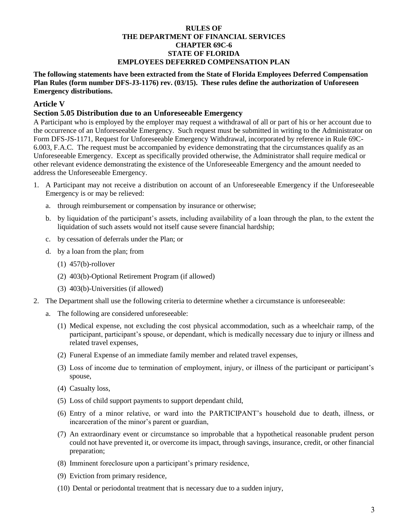#### **RULES OF THE DEPARTMENT OF FINANCIAL SERVICES CHAPTER 69C-6 STATE OF FLORIDA EMPLOYEES DEFERRED COMPENSATION PLAN**

**The following statements have been extracted from the State of Florida Employees Deferred Compensation Plan Rules (form number DFS-J3-1176) rev. (03/15). These rules define the authorization of Unforeseen Emergency distributions.** 

### **Article V**

#### **Section 5.05 Distribution due to an Unforeseeable Emergency**

A Participant who is employed by the employer may request a withdrawal of all or part of his or her account due to the occurrence of an Unforeseeable Emergency. Such request must be submitted in writing to the Administrator on Form DFS-JS-1171, Request for Unforeseeable Emergency Withdrawal, incorporated by reference in Rule 69C-6.003, F.A.C. The request must be accompanied by evidence demonstrating that the circumstances qualify as an Unforeseeable Emergency. Except as specifically provided otherwise, the Administrator shall require medical or other relevant evidence demonstrating the existence of the Unforeseeable Emergency and the amount needed to address the Unforeseeable Emergency.

- 1. A Participant may not receive a distribution on account of an Unforeseeable Emergency if the Unforeseeable Emergency is or may be relieved:
	- a. through reimbursement or compensation by insurance or otherwise;
	- b. by liquidation of the participant's assets, including availability of a loan through the plan, to the extent the liquidation of such assets would not itself cause severe financial hardship;
	- c. by cessation of deferrals under the Plan; or
	- d. by a loan from the plan; from
		- (1) 457(b)-rollover
		- (2) 403(b)-Optional Retirement Program (if allowed)
		- (3) 403(b)-Universities (if allowed)
- 2. The Department shall use the following criteria to determine whether a circumstance is unforeseeable:
	- a. The following are considered unforeseeable:
		- (1) Medical expense, not excluding the cost physical accommodation, such as a wheelchair ramp, of the participant, participant's spouse, or dependant, which is medically necessary due to injury or illness and related travel expenses,
		- (2) Funeral Expense of an immediate family member and related travel expenses,
		- (3) Loss of income due to termination of employment, injury, or illness of the participant or participant's spouse,
		- (4) Casualty loss,
		- (5) Loss of child support payments to support dependant child,
		- (6) Entry of a minor relative, or ward into the PARTICIPANT's household due to death, illness, or incarceration of the minor's parent or guardian,
		- (7) An extraordinary event or circumstance so improbable that a hypothetical reasonable prudent person could not have prevented it, or overcome its impact, through savings, insurance, credit, or other financial preparation;
		- (8) Imminent foreclosure upon a participant's primary residence,
		- (9) Eviction from primary residence,
		- (10) Dental or periodontal treatment that is necessary due to a sudden injury,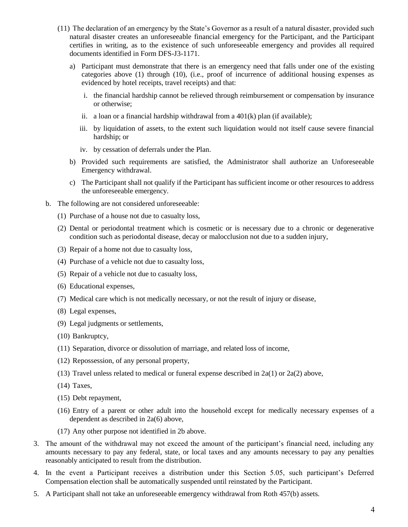- (11) The declaration of an emergency by the State's Governor as a result of a natural disaster, provided such natural disaster creates an unforeseeable financial emergency for the Participant, and the Participant certifies in writing, as to the existence of such unforeseeable emergency and provides all required documents identified in Form DFS-J3-1171.
	- a) Participant must demonstrate that there is an emergency need that falls under one of the existing categories above (1) through (10), (i.e., proof of incurrence of additional housing expenses as evidenced by hotel receipts, travel receipts) and that:
		- i. the financial hardship cannot be relieved through reimbursement or compensation by insurance or otherwise;
		- ii. a loan or a financial hardship withdrawal from a  $401(k)$  plan (if available);
		- iii. by liquidation of assets, to the extent such liquidation would not itself cause severe financial hardship; or
		- iv. by cessation of deferrals under the Plan.
	- b) Provided such requirements are satisfied, the Administrator shall authorize an Unforeseeable Emergency withdrawal.
	- c) The Participant shall not qualify if the Participant has sufficient income or other resources to address the unforeseeable emergency.
- b. The following are not considered unforeseeable:
	- (1) Purchase of a house not due to casualty loss,
	- (2) Dental or periodontal treatment which is cosmetic or is necessary due to a chronic or degenerative condition such as periodontal disease, decay or malocclusion not due to a sudden injury,
	- (3) Repair of a home not due to casualty loss,
	- (4) Purchase of a vehicle not due to casualty loss,
	- (5) Repair of a vehicle not due to casualty loss,
	- (6) Educational expenses,
	- (7) Medical care which is not medically necessary, or not the result of injury or disease,
	- (8) Legal expenses,
	- (9) Legal judgments or settlements,
	- (10) Bankruptcy,
	- (11) Separation, divorce or dissolution of marriage, and related loss of income,
	- (12) Repossession, of any personal property,
	- (13) Travel unless related to medical or funeral expense described in 2a(1) or 2a(2) above,
	- (14) Taxes,
	- (15) Debt repayment,
	- (16) Entry of a parent or other adult into the household except for medically necessary expenses of a dependent as described in 2a(6) above,
	- (17) Any other purpose not identified in 2b above.
- 3. The amount of the withdrawal may not exceed the amount of the participant's financial need, including any amounts necessary to pay any federal, state, or local taxes and any amounts necessary to pay any penalties reasonably anticipated to result from the distribution.
- 4. In the event a Participant receives a distribution under this Section 5.05, such participant's Deferred Compensation election shall be automatically suspended until reinstated by the Participant.
- 5. A Participant shall not take an unforeseeable emergency withdrawal from Roth 457(b) assets.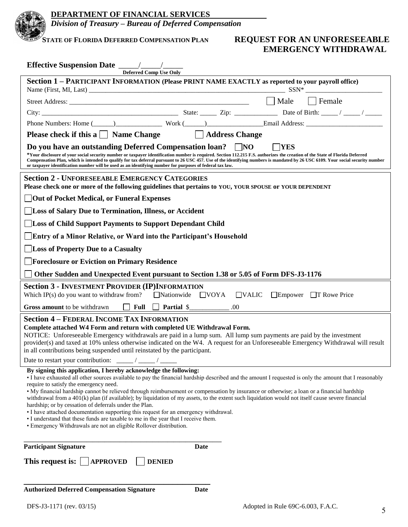

*Division of Treasury – Bureau of Deferred Compensation*

# **STATE OF FLORIDA DEFERRED COMPENSATION PLAN REQUEST FOR AN UNFORESEEABLE EMERGENCY WITHDRAWAL**

| <b>Deferred Comp Use Only</b>                                                                                                                                                                                                                                                                                                                                                                                                                                                                                                                                                                                                                                                                                                                                                                                                                                                           |  |  |  |  |
|-----------------------------------------------------------------------------------------------------------------------------------------------------------------------------------------------------------------------------------------------------------------------------------------------------------------------------------------------------------------------------------------------------------------------------------------------------------------------------------------------------------------------------------------------------------------------------------------------------------------------------------------------------------------------------------------------------------------------------------------------------------------------------------------------------------------------------------------------------------------------------------------|--|--|--|--|
| Section 1 - PARTICIPANT INFORMATION (Please PRINT NAME EXACTLY as reported to your payroll office)                                                                                                                                                                                                                                                                                                                                                                                                                                                                                                                                                                                                                                                                                                                                                                                      |  |  |  |  |
|                                                                                                                                                                                                                                                                                                                                                                                                                                                                                                                                                                                                                                                                                                                                                                                                                                                                                         |  |  |  |  |
| $\Box$ Male<br>$\vert$ Female                                                                                                                                                                                                                                                                                                                                                                                                                                                                                                                                                                                                                                                                                                                                                                                                                                                           |  |  |  |  |
|                                                                                                                                                                                                                                                                                                                                                                                                                                                                                                                                                                                                                                                                                                                                                                                                                                                                                         |  |  |  |  |
| Phone Numbers: Home (Change Company of Work (Change Company Company Company Company Company Company Company Company Company Company Company Company Company Company Company Company Company Company Company Company Company Co                                                                                                                                                                                                                                                                                                                                                                                                                                                                                                                                                                                                                                                          |  |  |  |  |
| <b>Please check if this a</b> $\Box$ Name Change $\Box$ Address Change                                                                                                                                                                                                                                                                                                                                                                                                                                                                                                                                                                                                                                                                                                                                                                                                                  |  |  |  |  |
| Do you have an outstanding Deferred Compensation loan?<br>$\vert$ NO<br>   YES<br>*Your disclosure of your social security number or taxpayer identification number is required. Section 112.215 F.S. authorizes the creation of the State of Florida Deferred<br>Compensation Plan, which is intended to qualify for tax deferral pursuant to 26 USC 457. Use of the identifying numbers is mandated by 26 USC 6109. Your social security number<br>or taxpayer identification number will be used as an identifying number for purposes of federal tax law.                                                                                                                                                                                                                                                                                                                           |  |  |  |  |
| <b>Section 2 - UNFORESEEABLE EMERGENCY CATEGORIES</b><br>Please check one or more of the following guidelines that pertains to YOU, YOUR SPOUSE or YOUR DEPENDENT                                                                                                                                                                                                                                                                                                                                                                                                                                                                                                                                                                                                                                                                                                                       |  |  |  |  |
| <b>Out of Pocket Medical, or Funeral Expenses</b>                                                                                                                                                                                                                                                                                                                                                                                                                                                                                                                                                                                                                                                                                                                                                                                                                                       |  |  |  |  |
| Loss of Salary Due to Termination, Illness, or Accident                                                                                                                                                                                                                                                                                                                                                                                                                                                                                                                                                                                                                                                                                                                                                                                                                                 |  |  |  |  |
| <b>Loss of Child Support Payments to Support Dependant Child</b>                                                                                                                                                                                                                                                                                                                                                                                                                                                                                                                                                                                                                                                                                                                                                                                                                        |  |  |  |  |
| Entry of a Minor Relative, or Ward into the Participant's Household                                                                                                                                                                                                                                                                                                                                                                                                                                                                                                                                                                                                                                                                                                                                                                                                                     |  |  |  |  |
| Loss of Property Due to a Casualty                                                                                                                                                                                                                                                                                                                                                                                                                                                                                                                                                                                                                                                                                                                                                                                                                                                      |  |  |  |  |
| <b>Foreclosure or Eviction on Primary Residence</b>                                                                                                                                                                                                                                                                                                                                                                                                                                                                                                                                                                                                                                                                                                                                                                                                                                     |  |  |  |  |
| Other Sudden and Unexpected Event pursuant to Section 1.38 or 5.05 of Form DFS-J3-1176                                                                                                                                                                                                                                                                                                                                                                                                                                                                                                                                                                                                                                                                                                                                                                                                  |  |  |  |  |
| <b>Section 3 - INVESTMENT PROVIDER (IP)INFORMATION</b><br>$\Box$ Nationwide $\Box$ VOYA<br>Which IP(s) do you want to withdraw from?<br>$\Box$ VALIC<br>$\Box$ Empower $\Box$ T Rowe Price                                                                                                                                                                                                                                                                                                                                                                                                                                                                                                                                                                                                                                                                                              |  |  |  |  |
| Full Partial \$<br>Gross amount to be withdrawn<br>$\perp$<br>.00.                                                                                                                                                                                                                                                                                                                                                                                                                                                                                                                                                                                                                                                                                                                                                                                                                      |  |  |  |  |
| <b>Section 4 - FEDERAL INCOME TAX INFORMATION</b><br>Complete attached W4 Form and return with completed UE Withdrawal Form.<br>NOTICE: Unforeseeable Emergency withdrawals are paid in a lump sum. All lump sum payments are paid by the investment<br>provider(s) and taxed at 10% unless otherwise indicated on the W4. A request for an Unforeseeable Emergency Withdrawal will result<br>in all contributions being suspended until reinstated by the participant.                                                                                                                                                                                                                                                                                                                                                                                                                 |  |  |  |  |
| By signing this application, I hereby acknowledge the following:<br>• I have exhausted all other sources available to pay the financial hardship described and the amount I requested is only the amount that I reasonably<br>require to satisfy the emergency need.<br>• My financial hardship cannot be relieved through reimbursement or compensation by insurance or otherwise; a loan or a financial hardship<br>withdrawal from a $401(k)$ plan (if available); by liquidation of my assets, to the extent such liquidation would not itself cause severe financial<br>hardship; or by cessation of deferrals under the Plan.<br>• I have attached documentation supporting this request for an emergency withdrawal.<br>• I understand that these funds are taxable to me in the year that I receive them.<br>• Emergency Withdrawals are not an eligible Rollover distribution. |  |  |  |  |
| <b>Participant Signature</b><br>Date                                                                                                                                                                                                                                                                                                                                                                                                                                                                                                                                                                                                                                                                                                                                                                                                                                                    |  |  |  |  |
| This request is:<br><b>APPROVED</b><br><b>DENIED</b>                                                                                                                                                                                                                                                                                                                                                                                                                                                                                                                                                                                                                                                                                                                                                                                                                                    |  |  |  |  |
| <b>Authorized Deferred Compensation Signature</b><br>Date                                                                                                                                                                                                                                                                                                                                                                                                                                                                                                                                                                                                                                                                                                                                                                                                                               |  |  |  |  |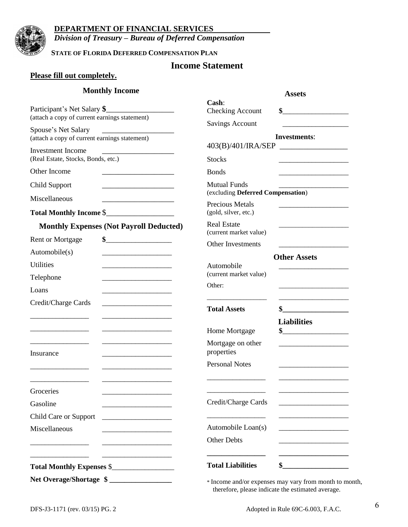

### **DEPARTMENT OF FINANCIAL SERVICES**

*Division of Treasury – Bureau of Deferred Compensation*

**STATE OF FLORIDA DEFERRED COMPENSATION PLAN**

# **Income Statement**

### **Please fill out completely.**

### **Monthly Income**

| <b>Monthly Income</b>                                                                                                                  |                                                          | <b>Assets</b>                                                                                                                                                                                                                                                                                                       |
|----------------------------------------------------------------------------------------------------------------------------------------|----------------------------------------------------------|---------------------------------------------------------------------------------------------------------------------------------------------------------------------------------------------------------------------------------------------------------------------------------------------------------------------|
| Participant's Net Salary \$<br>(attach a copy of current earnings statement)                                                           | Cash:<br><b>Checking Account</b>                         | $\frac{1}{2}$ $\frac{1}{2}$ $\frac{1}{2}$ $\frac{1}{2}$ $\frac{1}{2}$ $\frac{1}{2}$ $\frac{1}{2}$ $\frac{1}{2}$ $\frac{1}{2}$ $\frac{1}{2}$ $\frac{1}{2}$ $\frac{1}{2}$ $\frac{1}{2}$ $\frac{1}{2}$ $\frac{1}{2}$ $\frac{1}{2}$ $\frac{1}{2}$ $\frac{1}{2}$ $\frac{1}{2}$ $\frac{1}{2}$ $\frac{1}{2}$ $\frac{1}{2}$ |
| Spouse's Net Salary                                                                                                                    | <b>Savings Account</b>                                   | <u> 1989 - Johann Harry Harry Harry Harry Harry Harry Harry Harry Harry Harry Harry Harry Harry Harry Harry Harry</u>                                                                                                                                                                                               |
| (attach a copy of current earnings statement)                                                                                          |                                                          | <b>Investments:</b>                                                                                                                                                                                                                                                                                                 |
| <b>Investment Income</b>                                                                                                               | 403(B)/401/IRA/SEP                                       |                                                                                                                                                                                                                                                                                                                     |
| (Real Estate, Stocks, Bonds, etc.)                                                                                                     | <b>Stocks</b>                                            |                                                                                                                                                                                                                                                                                                                     |
| Other Income                                                                                                                           | <b>Bonds</b>                                             | and the control of the control of the control of                                                                                                                                                                                                                                                                    |
| Child Support                                                                                                                          | <b>Mutual Funds</b><br>(excluding Deferred Compensation) |                                                                                                                                                                                                                                                                                                                     |
| Miscellaneous                                                                                                                          | <b>Precious Metals</b>                                   |                                                                                                                                                                                                                                                                                                                     |
| Total Monthly Income \$                                                                                                                | (gold, silver, etc.)                                     |                                                                                                                                                                                                                                                                                                                     |
| <b>Monthly Expenses (Not Payroll Deducted)</b>                                                                                         | <b>Real Estate</b><br>(current market value)             |                                                                                                                                                                                                                                                                                                                     |
| <b>Rent or Mortgage</b>                                                                                                                | Other Investments                                        | <u> 1980 - Johann Barbara, martin a</u>                                                                                                                                                                                                                                                                             |
| Automobile(s)<br><u> 1989 - Johann Barbara, martin amerikan basar dan berasal dalam basar dalam basar dalam basar dalam basar dala</u> |                                                          | <b>Other Assets</b>                                                                                                                                                                                                                                                                                                 |
| <b>Utilities</b>                                                                                                                       | Automobile                                               |                                                                                                                                                                                                                                                                                                                     |
| Telephone                                                                                                                              | (current market value)                                   |                                                                                                                                                                                                                                                                                                                     |
| Loans                                                                                                                                  | Other:                                                   | the control of the control of the control of the control of the control of                                                                                                                                                                                                                                          |
| Credit/Charge Cards                                                                                                                    | <b>Total Assets</b>                                      |                                                                                                                                                                                                                                                                                                                     |
|                                                                                                                                        |                                                          | <b>Liabilities</b>                                                                                                                                                                                                                                                                                                  |
|                                                                                                                                        | Home Mortgage                                            | \$                                                                                                                                                                                                                                                                                                                  |
| <u> 1980 - Johann John Stone, mars et al. (</u><br>Insurance                                                                           | Mortgage on other<br>properties                          |                                                                                                                                                                                                                                                                                                                     |
|                                                                                                                                        | <b>Personal Notes</b>                                    |                                                                                                                                                                                                                                                                                                                     |
| Groceries                                                                                                                              |                                                          |                                                                                                                                                                                                                                                                                                                     |
| Gasoline                                                                                                                               | Credit/Charge Cards                                      | <u> 1989 - Johann Barn, mars eta bainar eta industrial eta erromania eta erromania eta erromania eta erromania e</u>                                                                                                                                                                                                |
| Child Care or Support                                                                                                                  |                                                          |                                                                                                                                                                                                                                                                                                                     |
| Miscellaneous                                                                                                                          | Automobile Loan(s)                                       |                                                                                                                                                                                                                                                                                                                     |
|                                                                                                                                        | Other Debts                                              |                                                                                                                                                                                                                                                                                                                     |
|                                                                                                                                        | <b>Total Liabilities</b>                                 | $\sim$                                                                                                                                                                                                                                                                                                              |
| Net Overage/Shortage \$<br>* Income and/or expenses may vary from month to month,                                                      |                                                          |                                                                                                                                                                                                                                                                                                                     |

therefore, please indicate the estimated average.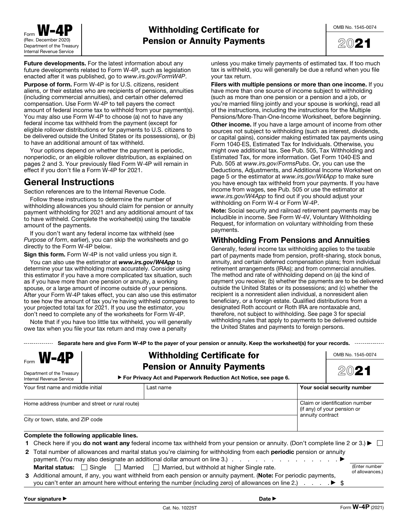

**Future developments.** For the latest information about any future developments related to Form W-4P, such as legislation enacted after it was published, go to www.irs.gov/FormW4P.

**Purpose of form.** Form W-4P is for U.S. citizens, resident aliens, or their estates who are recipients of pensions, annuities (including commercial annuities), and certain other deferred compensation. Use Form W-4P to tell payers the correct amount of federal income tax to withhold from your payment(s). You may also use Form W-4P to choose (a) not to have any federal income tax withheld from the payment (except for eligible rollover distributions or for payments to U.S. citizens to be delivered outside the United States or its possessions), or (b) to have an additional amount of tax withheld.

Your options depend on whether the payment is periodic, nonperiodic, or an eligible rollover distribution, as explained on pages 2 and 3. Your previously filed Form W-4P will remain in effect if you don't file a Form W-4P for 2021.

# **General Instructions**

Section references are to the Internal Revenue Code.

Follow these instructions to determine the number of withholding allowances you should claim for pension or annuity payment withholding for 2021 and any additional amount of tax to have withheld. Complete the worksheet(s) using the taxable amount of the payments.

If you don't want any federal income tax withheld (see Purpose of form, earlier), you can skip the worksheets and go directly to the Form W-4P below.

**Sign this form.** Form W-4P is not valid unless you sign it.

You can also use the estimator at *www.irs.gov/W4App* to determine your tax withholding more accurately. Consider using this estimator if you have a more complicated tax situation, such as if you have more than one pension or annuity, a working spouse, or a large amount of income outside of your pensions. After your Form W-4P takes effect, you can also use this estimator to see how the amount of tax you're having withheld compares to your projected total tax for 2021. If you use the estimator, you don't need to complete any of the worksheets for Form W͈4P.

Note that if you have too little tax withheld, you will generally owe tax when you file your tax return and may owe a penalty

unless you make timely payments of estimated tax. If too much tax is withheld, you will generally be due a refund when you file your tax return.

**Filers with multiple pensions or more than one income.** If you have more than one source of income subject to withholding (such as more than one pension or a pension and a job, or you're married filing jointly and your spouse is working), read all of the instructions, including the instructions for the Multiple Pensions/More-Than-One-Income Worksheet, before beginning. **Other income.** If you have a large amount of income from other sources not subject to withholding (such as interest, dividends, or capital gains), consider making estimated tax payments using Form 1040-ES, Estimated Tax for Individuals. Otherwise, you might owe additional tax. See Pub. 505, Tax Withholding and Estimated Tax, for more information. Get Form 1040-ES and Pub. 505 at www.irs.gov/FormsPubs. Or, you can use the Deductions, Adjustments, and Additional Income Worksheet on page 5 or the estimator at www.irs.gov/W4App to make sure you have enough tax withheld from your payments. If you have income from wages, see Pub. 505 or use the estimator at www.irs.gov/W4App to find out if you should adjust your withholding on Form W-4 or Form W-4P.

**Note:** Social security and railroad retirement payments may be includible in income. See Form W-4V, Voluntary Withholding Request, for information on voluntary withholding from these payments.

### **Withholding From Pensions and Annuities**

Generally, federal income tax withholding applies to the taxable part of payments made from pension, profit-sharing, stock bonus, annuity, and certain deferred compensation plans; from individual retirement arrangements (IRAs); and from commercial annuities. The method and rate of withholding depend on (a) the kind of payment you receive; (b) whether the payments are to be delivered outside the United States or its possessions; and (c) whether the recipient is a nonresident alien individual, a nonresident alien beneficiary, or a foreign estate. Qualified distributions from a designated Roth account or Roth IRA are nontaxable and, therefore, not subject to withholding. See page 3 for special withholding rules that apply to payments to be delivered outside the United States and payments to foreign persons.

**Separate here and give Form W-4P to the payer of your pension or annuity. Keep the worksheet(s) for your records.**

| $F_{\text{form}}$ <b>W-4P</b><br>Department of the Treasury<br>Internal Revenue Service | <b>Withholding Certificate for</b><br><b>Pension or Annuity Payments</b><br>► For Privacy Act and Paperwork Reduction Act Notice, see page 6.                                                                                                                                                                                         | OMB No. 1545-0074<br>2021                                                         |
|-----------------------------------------------------------------------------------------|---------------------------------------------------------------------------------------------------------------------------------------------------------------------------------------------------------------------------------------------------------------------------------------------------------------------------------------|-----------------------------------------------------------------------------------|
| Your first name and middle initial                                                      | Last name                                                                                                                                                                                                                                                                                                                             | Your social security number                                                       |
| Home address (number and street or rural route)<br>City or town, state, and ZIP code    |                                                                                                                                                                                                                                                                                                                                       | Claim or identification number<br>(if any) of your pension or<br>annuity contract |
| Complete the following applicable lines.                                                | 1 Check here if you <b>do not want any</b> federal income tax withheld from your pension or annuity. (Don't complete line 2 or 3.) $\blacktriangleright \Box$                                                                                                                                                                         |                                                                                   |
|                                                                                         | 2 Total number of allowances and marital status you're claiming for withholding from each periodic pension or annuity                                                                                                                                                                                                                 |                                                                                   |
| <b>Marital status:</b>                                                                  | Single   Married    <br>Married, but withhold at higher Single rate.<br>3 Additional amount, if any, you want withheld from each pension or annuity payment. (Note: For periodic payments,<br>you can't enter an amount here without entering the number (including zero) of allowances on line 2.) $\ldots$ $\blacktriangleright$ \$ | (Enter number<br>of allowances.)                                                  |
| Your signature ▶                                                                        | Date $\blacktriangleright$                                                                                                                                                                                                                                                                                                            |                                                                                   |